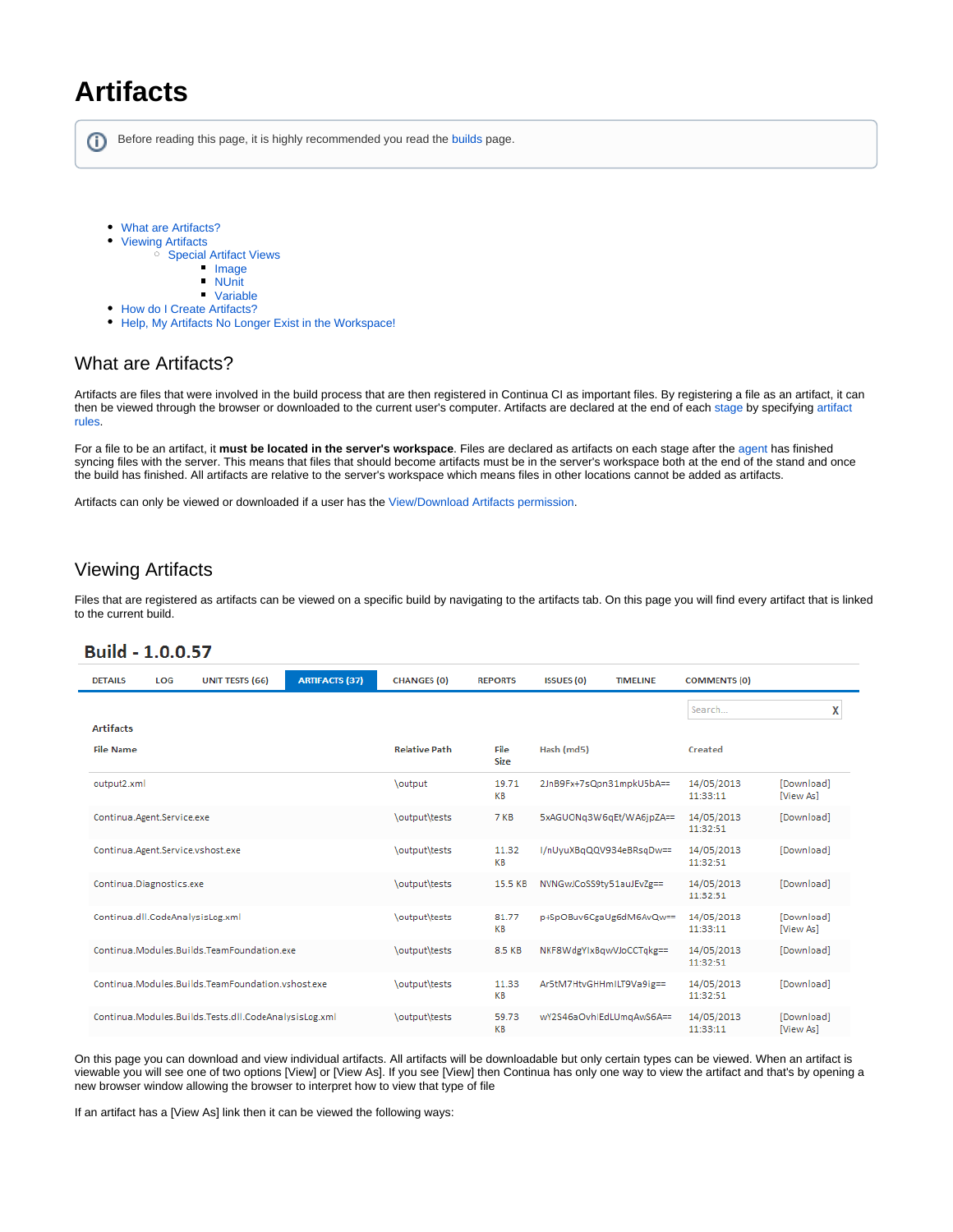# **Artifacts**

ന Before reading this page, it is highly recommended you read the [b](https://wiki.finalbuilder.com/display/continua/Continua+CI+Repositories)[uilds](https://wiki.finalbuilder.com/display/continua/Builds) page.

- [What are Artifacts?](#page-0-0)
- [Viewing Artifacts](#page-0-1)
	- <sup>o</sup> [Special Artifact Views](#page-1-0)
		- **[Image](#page-1-1)**
		- $\blacksquare$ [NUnit](#page-1-2)
		- [Variable](#page-2-0)
- [How do I Create Artifacts?](#page-2-1)
- [Help, My Artifacts No Longer Exist in the Workspace!](#page-2-2)

# <span id="page-0-0"></span>What are Artifacts?

Artifacts are files that were involved in the build process that are then registered in Continua CI as important files. By registering a file as an artifact, it can then be viewed through the browser or downloaded to the current user's computer. Artifacts are declared at the end of each [stage](https://wiki.finalbuilder.com/display/continua/Stages) by specifying [artifact](https://wiki.finalbuilder.com/display/continua/Artifact+Rules)  [rules](https://wiki.finalbuilder.com/display/continua/Artifact+Rules).

For a file to be an artifact, it **must be located in the server's workspace**. Files are declared as artifacts on each stage after the [agent](https://wiki.finalbuilder.com/display/continua/Agents) has finished syncing files with the server. This means that files that should become artifacts must be in the server's workspace both at the end of the stand and once the build has finished. All artifacts are relative to the server's workspace which means files in other locations cannot be added as artifacts.

Artifacts can only be viewed or downloaded if a user has the [View/Download Artifacts permission](https://wiki.finalbuilder.com/pages/viewpage.action?pageId=655497).

# <span id="page-0-1"></span>Viewing Artifacts

Files that are registered as artifacts can be viewed on a specific build by navigating to the artifacts tab. On this page you will find every artifact that is linked to the current build.

# Build - 1.0.0.57

| <b>ARTIFACTS (37)</b><br><b>UNIT TESTS (66)</b><br><b>DETAILS</b><br>LOG | <b>CHANGES (0)</b>   | <b>REPORTS</b>      | <b>ISSUES (0)</b><br><b>TIMELINE</b> | <b>COMMENTS (0)</b>    |                         |
|--------------------------------------------------------------------------|----------------------|---------------------|--------------------------------------|------------------------|-------------------------|
|                                                                          |                      |                     |                                      | Search                 | X                       |
| <b>Artifacts</b><br><b>File Name</b>                                     | <b>Relative Path</b> | File<br><b>Size</b> | Hash (md5)                           | Created                |                         |
| output2.xml                                                              | <b>\output</b>       | 19.71<br>KB         | 2JnB9Fx+7sQpn31mpkU5bA==             | 14/05/2013<br>11:33:11 | [Download]<br>[View As] |
| Continua.Agent.Service.exe                                               | \output\tests        | 7 KB                | 5xAGUONq3W6qEt/WA6jpZA==             | 14/05/2013<br>11:32:51 | [Download]              |
| Continua.Agent.Service.vshost.exe                                        | \output\tests        | 11.32<br>KB         | I/nUyuXBqQQV934eBRsqDw==             | 14/05/2013<br>11:32:51 | [Download]              |
| Continua.Diagnostics.exe                                                 | \output\tests        | 15.5 KB             | NVNGwJCoSS9tv51auJEvZg==             | 14/05/2013<br>11:32:51 | [Download]              |
| Continua.dll.CodeAnalysisLog.xml                                         | \output\tests        | 81.77<br>KВ         | p+SpOBuv6CgaUg6dM6AvQw==             | 14/05/2013<br>11:33:11 | [Download]<br>[View As] |
| Continua.Modules.Builds.TeamFoundation.exe                               | \output\tests        | 8.5 KB              | NKF8WdgYIxBqwVJoCCTqkg==             | 14/05/2013<br>11:32:51 | [Download]              |
| Continua Modules Builds TeamFoundation vshost exe                        | \output\tests        | 11.33<br>KB         | Ar5tM7HtvGHHmILT9Va9ig==             | 14/05/2013<br>11:32:51 | [Download]              |
| Continua.Modules.Builds.Tests.dll.CodeAnalysisLog.xml                    | \output\tests        | 59.73<br>KB         | wY2S46aOvhIEdLUmgAwS6A==             | 14/05/2013<br>11:33:11 | [Download]<br>[View As] |

On this page you can download and view individual artifacts. All artifacts will be downloadable but only certain types can be viewed. When an artifact is viewable you will see one of two options [View] or [View As]. If you see [View] then Continua has only one way to view the artifact and that's by opening a new browser window allowing the browser to interpret how to view that type of file

If an artifact has a [View As] link then it can be viewed the following ways: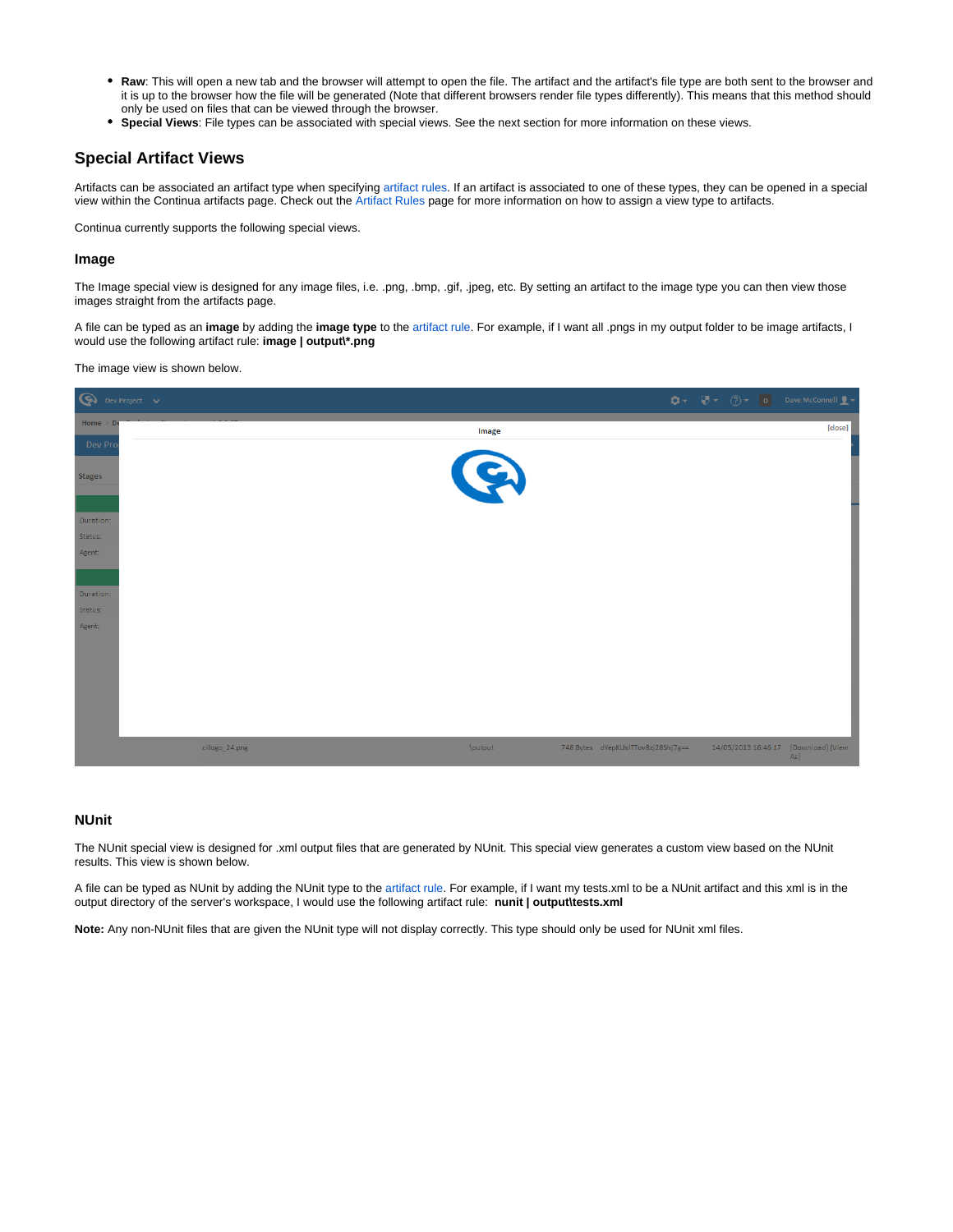- **Raw**: This will open a new tab and the browser will attempt to open the file. The artifact and the artifact's file type are both sent to the browser and  $\bullet$ it is up to the browser how the file will be generated (Note that different browsers render file types differently). This means that this method should only be used on files that can be viewed through the browser.
- **Special Views**: File types can be associated with special views. See the next section for more information on these views.

### <span id="page-1-0"></span>**Special Artifact Views**

Artifacts can be associated an artifact type when specifying [artifact rules](https://wiki.finalbuilder.com/display/continua/Artifact+Rules). If an artifact is associated to one of these types, they can be opened in a special view within the Continua artifacts page. Check out the [Artifact Rules](https://wiki.finalbuilder.com/display/continua/Artifact+Rules) page for more information on how to assign a view type to artifacts.

Continua currently supports the following special views.

#### <span id="page-1-1"></span>**Image**

The Image special view is designed for any image files, i.e. .png, .bmp, .gif, .jpeg, etc. By setting an artifact to the image type you can then view those images straight from the artifacts page.

A file can be typed as an **image** by adding the **image type** to the [artifact rule](https://wiki.finalbuilder.com/display/continua/Artifact+Rules). For example, if I want all .pngs in my output folder to be image artifacts, I would use the following artifact rule: **image | output\\*.png**

The image view is shown below.

| $\bigcirc$ Dev Project $\vee$ |               |         |                                    | $\bullet \bullet \qquad \overline{\mathbf{U}} \bullet \qquad \textcircled{1} \qquad \text{or} \qquad \text{Dave McConnell} \ \underline{\mathbf{I}} \bullet$ |         |
|-------------------------------|---------------|---------|------------------------------------|--------------------------------------------------------------------------------------------------------------------------------------------------------------|---------|
| Home $>$ De                   |               | Image   |                                    |                                                                                                                                                              | [close] |
| Dev Pro                       |               |         |                                    |                                                                                                                                                              |         |
| <b>Stages</b>                 |               | Q       |                                    |                                                                                                                                                              |         |
|                               |               |         |                                    |                                                                                                                                                              |         |
| Duration:                     |               |         |                                    |                                                                                                                                                              |         |
| Status:<br>Agent:             |               |         |                                    |                                                                                                                                                              |         |
|                               |               |         |                                    |                                                                                                                                                              |         |
|                               |               |         |                                    |                                                                                                                                                              |         |
| Duration:                     |               |         |                                    |                                                                                                                                                              |         |
| Status:<br>Agent:             |               |         |                                    |                                                                                                                                                              |         |
|                               |               |         |                                    |                                                                                                                                                              |         |
|                               |               |         |                                    |                                                                                                                                                              |         |
|                               |               |         |                                    |                                                                                                                                                              |         |
|                               |               |         |                                    |                                                                                                                                                              |         |
|                               |               |         |                                    |                                                                                                                                                              |         |
|                               |               |         |                                    |                                                                                                                                                              |         |
|                               | cilogo_24.png | \output | 748 Bytes dYepKUsITTov8zj28Shj7g== | 14/05/2013 16:46:17 [Download] [View                                                                                                                         | As]     |

#### <span id="page-1-2"></span>**NUnit**

The NUnit special view is designed for .xml output files that are generated by NUnit. This special view generates a custom view based on the NUnit results. This view is shown below.

A file can be typed as NUnit by adding the NUnit type to the [artifact rule.](https://wiki.finalbuilder.com/display/continua/Artifact+Rules) For example, if I want my tests.xml to be a NUnit artifact and this xml is in the output directory of the server's workspace, I would use the following artifact rule: **nunit | output\tests.xml**

**Note:** Any non-NUnit files that are given the NUnit type will not display correctly. This type should only be used for NUnit xml files.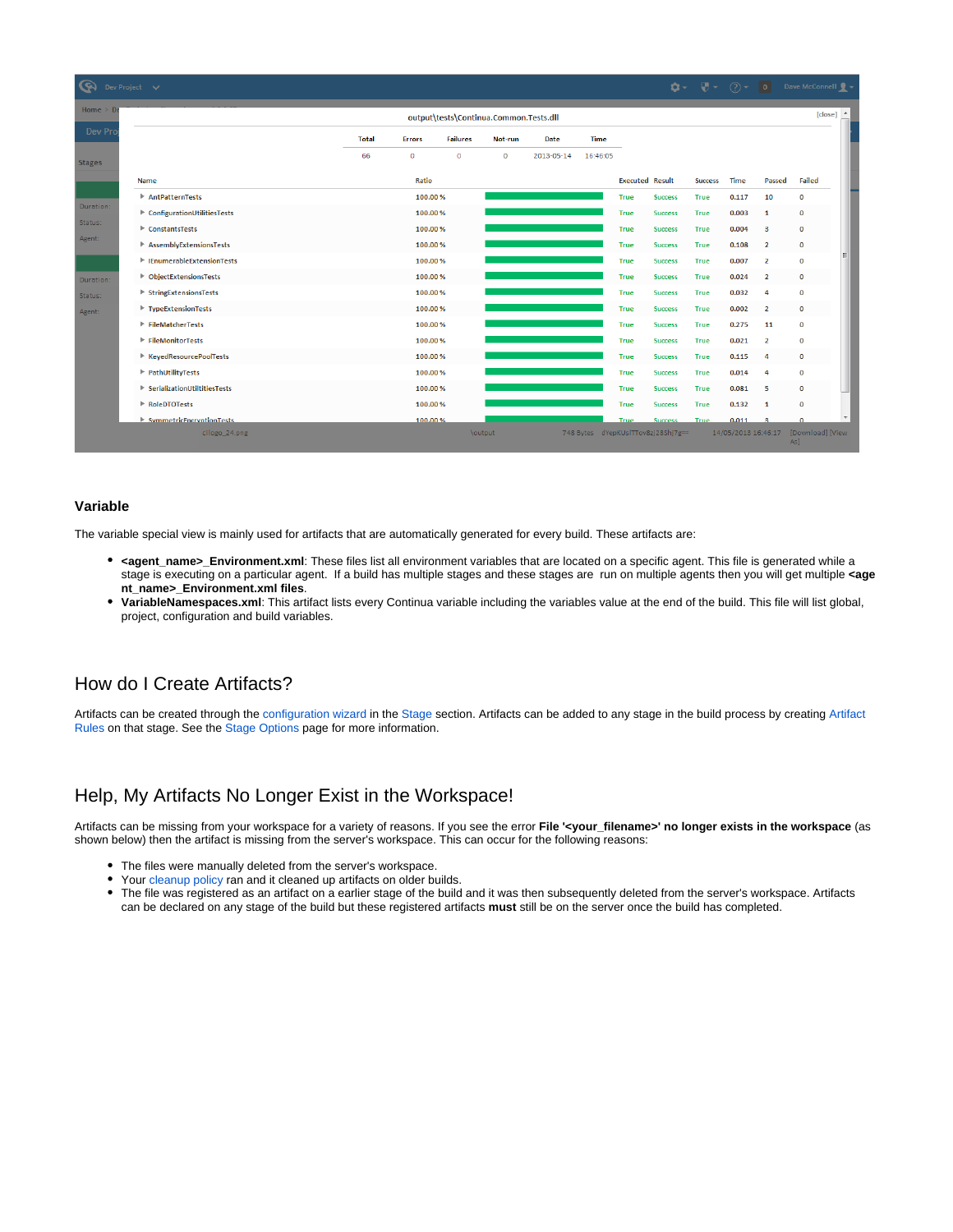| $\bullet \bullet \quad \bullet \quad \bullet \quad \bullet \quad \bullet \quad \bullet \quad \bullet$<br>জ<br>Dev Project V |                                                      |              |                                |                 |             |            |             |                        |                                    |                                        |                     |                |                                     |  |
|-----------------------------------------------------------------------------------------------------------------------------|------------------------------------------------------|--------------|--------------------------------|-----------------|-------------|------------|-------------|------------------------|------------------------------------|----------------------------------------|---------------------|----------------|-------------------------------------|--|
| Home $> 0$<br>output\tests\Continua.Common.Tests.dll                                                                        |                                                      |              |                                |                 |             |            |             |                        |                                    |                                        |                     |                | [close] $\triangle$                 |  |
| Dev Pro                                                                                                                     |                                                      | <b>Total</b> | <b>Errors</b>                  | <b>Failures</b> | Not-run     | Date       | <b>Time</b> |                        |                                    |                                        |                     |                |                                     |  |
| <b>Stages</b>                                                                                                               |                                                      | 66           | $\circ$                        | $\circ$         | $\mathbf 0$ | 2013-05-14 | 16:46:05    |                        |                                    |                                        |                     |                |                                     |  |
|                                                                                                                             | Name                                                 |              | Ratio                          |                 |             |            |             | <b>Executed Result</b> |                                    | <b>Success</b>                         | <b>Time</b>         | Passed         | Failed                              |  |
|                                                                                                                             | AntPatternTests                                      |              | 100.00%                        |                 |             |            | <b>True</b> | <b>Success</b>         | True                               | 0.117                                  | 10                  | $\mathbf 0$    |                                     |  |
| Duration:                                                                                                                   | ConfigurationUtilitiesTests                          |              | 100.00%                        |                 |             |            |             | True                   | <b>Success</b>                     | True                                   | 0.003               | 1              | $\bf{0}$                            |  |
| Status:                                                                                                                     | ConstantsTests                                       |              | 100.00 %<br>100.00%<br>100.00% |                 |             |            | True        |                        |                                    | True                                   | 0.004               | з              | $\bf{0}$                            |  |
| Agent:                                                                                                                      | AssemblyExtensionsTests                              |              |                                |                 |             |            |             | True                   | <b>Success</b>                     | 0.108<br>$\overline{2}$<br><b>True</b> |                     | $\bf{0}$       |                                     |  |
|                                                                                                                             | <b>EnumerableExtensionTests</b>                      |              |                                |                 |             |            | <b>True</b> | <b>Success</b>         | <b>True</b>                        | 0.007                                  | $\overline{2}$      | $\mathbf 0$    |                                     |  |
| Duration:                                                                                                                   | ▶ ObjectExtensionsTests                              |              | 100,00%                        |                 |             |            |             | <b>True</b>            | <b>Success</b>                     | True                                   | 0.024               | $\overline{2}$ | $\mathbf 0$                         |  |
| Status:                                                                                                                     | ▶ StringExtensionsTests                              |              | 100.00 %<br>100.00%            |                 |             |            |             | <b>True</b>            | <b>Success</b>                     | True                                   | 0.032               | 4              | $\mathbf 0$                         |  |
| Agent:                                                                                                                      | TypeExtensionTests                                   |              |                                |                 |             |            | True        | <b>Success</b>         | <b>True</b>                        | 0.002                                  | $\overline{2}$      | $\bf{0}$       |                                     |  |
|                                                                                                                             | $\blacktriangleright$ FileMatcherTests               |              | 100.00%                        |                 |             |            |             | True                   | <b>Success</b>                     | <b>True</b>                            | 0.275               | 11             | $\mathbf 0$                         |  |
|                                                                                                                             | $\blacktriangleright$ FileMonitorTests               |              | 100,00%                        |                 |             |            |             | <b>True</b>            | <b>Success</b>                     | True                                   | 0.021               | $\overline{2}$ | $\bf{0}$                            |  |
|                                                                                                                             | ▶ KeyedResourcePoolTests                             |              | 100.00 %                       |                 |             |            |             | True                   | <b>Success</b>                     | True                                   | 0.115               | 4              | $\bf{0}$                            |  |
|                                                                                                                             | P PathUtilityTests                                   |              | 100.00%                        |                 |             |            |             | True                   | <b>Success</b>                     | <b>True</b>                            | 0.014               | 4              | $\bf{0}$                            |  |
|                                                                                                                             | $\blacktriangleright$ Serialization Utiltities Tests |              | 100.00%                        |                 |             |            |             | <b>True</b>            | <b>Success</b>                     | <b>True</b>                            | 0.081               | 5              | $\mathbf{0}$                        |  |
|                                                                                                                             | RoleDTOTests                                         |              | 100.00%                        |                 |             |            |             | <b>True</b>            | <b>Success</b>                     | True                                   | 0.132               | $\mathbf{1}$   | $\bf{0}$                            |  |
|                                                                                                                             | $\blacktriangleright$ SymmetricEncryptionTests       |              | 100.00%                        |                 |             |            |             | True                   | <b>Success</b>                     | <b>True</b>                            | 0.011               | $\mathbf{B}$   | $\Omega$                            |  |
|                                                                                                                             | cilogo_24.png                                        |              |                                |                 | \output     |            |             |                        | 748 Bytes dYepKUsITTov8zj28Shj7g== |                                        | 14/05/2013 16:46:17 |                | [Download] [View<br>As <sup>1</sup> |  |

#### <span id="page-2-0"></span>**Variable**

The variable special view is mainly used for artifacts that are automatically generated for every build. These artifacts are:

- **<agent\_name>\_Environment.xml**: These files list all environment variables that are located on a specific agent. This file is generated while a stage is executing on a particular agent. If a build has multiple stages and these stages are run on multiple agents then you will get multiple **<age nt\_name>\_Environment.xml files**.
- **VariableNamespaces.xml**: This artifact lists every Continua variable including the variables value at the end of the build. This file will list global, project, configuration and build variables.

# <span id="page-2-1"></span>How do I Create Artifacts?

Artifacts can be created through the [configuration wizard](https://wiki.finalbuilder.com/display/continua/Configurations) in the [Stage](https://wiki.finalbuilder.com/display/continua/Stages) section. Artifacts can be added to any stage in the build process by creating [Artifact](https://wiki.finalbuilder.com/display/continua/Artifact+Rules)  [Rules](https://wiki.finalbuilder.com/display/continua/Artifact+Rules) on that stage. See the [Stage Options](https://wiki.finalbuilder.com/display/continua/Stage+Options) page for more information.

# <span id="page-2-2"></span>Help, My Artifacts No Longer Exist in the Workspace!

Artifacts can be missing from your workspace for a variety of reasons. If you see the error **File '<your\_filename>' no longer exists in the workspace** (as shown below) then the artifact is missing from the server's workspace. This can occur for the following reasons:

- The files were manually deleted from the server's workspace.
- Your [cleanup policy](https://wiki.finalbuilder.com/display/continua/Cleanup) ran and it cleaned up artifacts on older builds.
- The file was registered as an artifact on a earlier stage of the build and it was then subsequently deleted from the server's workspace. Artifacts can be declared on any stage of the build but these registered artifacts **must** still be on the server once the build has completed.